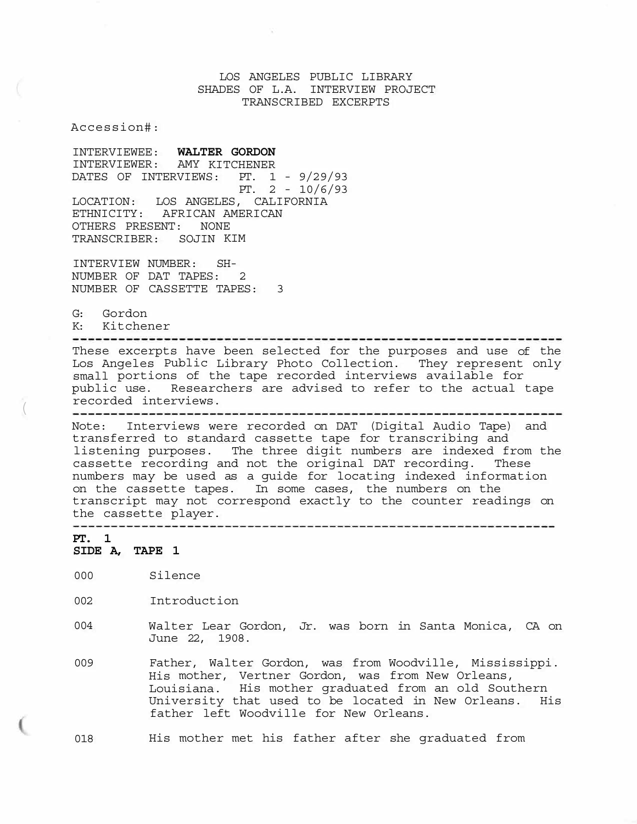LOS ANGELES PUBLIC LIBRARY SHADES OF L.A. INTERVIEW PROJECT TRANSCRIBED EXCERPTS

Accession#:

INTERVIEWEE: **WALTER GORDON**  INTERVIEWER: AMY KITCHENER DATES OF INTERVIEWS: PT. 1 - 9/29/93 PT. 2 - 10/6/93 LOCATION: LOS ANGELES, CALIFORNIA ETHNICITY: AFRICAN AMERICAN OTHERS PRESENT: NONE TRANSCRIBER: SOJIN KIM

INTERVIEW NUMBER: SH-NUMBER OF DAT TAPES: 2 NUMBER OF CASSETTE TAPES: 3

G: Gordon

K: Kitchener

These excerpts have been selected for the purposes and use of the Los Angeles Public Library Photo Collection. They represent only small portions of the tape recorded interviews available for public use. Researchers are advised to refer to the actual tape

recorded interviews. (

Note: Interviews were recorded on DAT (Digital Audio Tape) and transferred to standard cassette tape for transcribing and listening purposes. The three digit numbers are indexed from the cassette recording and not the original DAT recording. These numbers may be used as a guide for locating indexed information on the cassette tapes. In some cases, the numbers on the transcript may not correspond exactly to the counter readings on the cassette player.<br>---------------------

**PT. 1 SIDE A, TAPE 1** 

000 Silence

002 Introduction

- 004 Walter Lear Gordon, Jr. was born in Santa Monica, CA on June 22, 1908.
- 009 Father, Walter Gordon, was from Woodville, Mississippi. His mother, Vertner Gordon, was from New Orleans, Louisiana. His mother graduated from an old Southern University that used to be located in New Orleans. His father left Woodville for New Orleans.

018 His mother met his father after she graduated from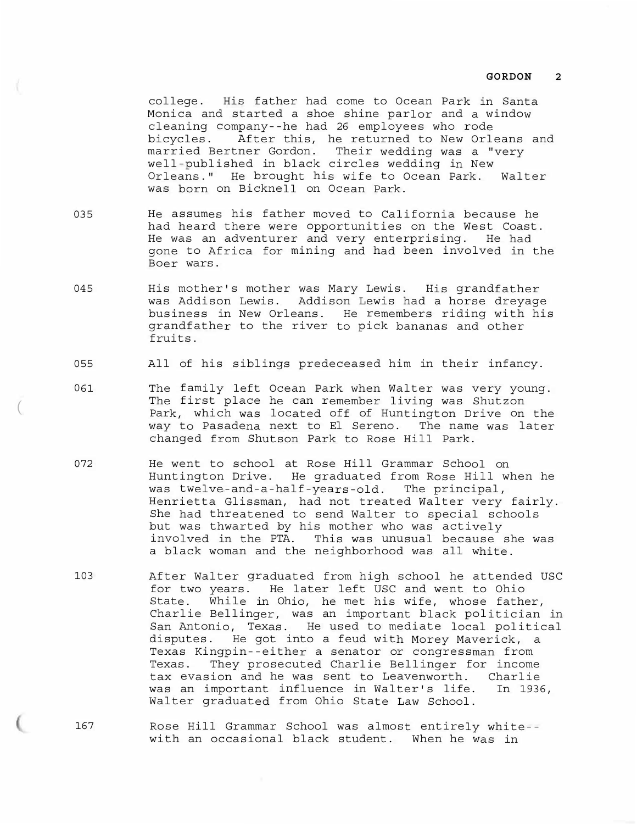college. His father had come to Ocean Park in Santa Monica and started a shoe shine parlor and a window cleaning company--he had 26 employees who rode bicycles. After this, he returned to New Orleans and married Bertner Gordon. Their wedding was a "very well-published in black circles wedding in New Orleans." He brought his wife to Ocean Park. Walter was born on Bicknell on Ocean Park.

- 035 He assumes his father moved to California because he had heard there were opportunities on the West Coast. He was an adventurer and very enterprising. He had gone to Africa for mining and had been involved in the Boer wars.
- 045 His mother's mother was Mary Lewis. His grandfather was Addison Lewis. Addison Lewis had a horse dreyage business in New Orleans. He remembers riding with his grandfather to the river to pick bananas and other fruits.
- 055 All of his siblings predeceased him in their infancy.
- 0 61 The family left Ocean Park when Walter was very young. The first place he can remember living was Shutzon Park, which was located off of Huntington Drive on the way to Pasadena next to El Sereno. The name was later changed from Shutson Park to Rose Hill Park.

(

- 072 He went to school at Rose Hill Grammar School on Huntington Drive. He graduated from Rose Hill when he was twelve-and-a-half-years-old. The principal, Henrietta Glissman, had not treated Walter very fairly. She had threatened to send Walter to special schools but was thwarted by his mother who was actively involved in the PTA. This was unusual because she was a black woman and the neighborhood was all white.
- 103 After Walter graduated from high school he attended USC for two years. He later left USC and went to Ohio State. While in Ohio, he met his wife, whose father, Charlie Bellinger, was an important black politician in San Antonio, Texas. He used to mediate local political disputes. He got into a feud with Morey Maverick, a Texas Kingpin--either a senator or congressman from Texas. They prosecuted Charlie Bellinger for income tax evasion and he was sent to Leavenworth. Charlie was an important influence in Walter's life. In 1936, Walter graduated from Ohio State Law School.
- 167 Rose Hill Grammar School was almost entirely white- with an occasional black student. When he was in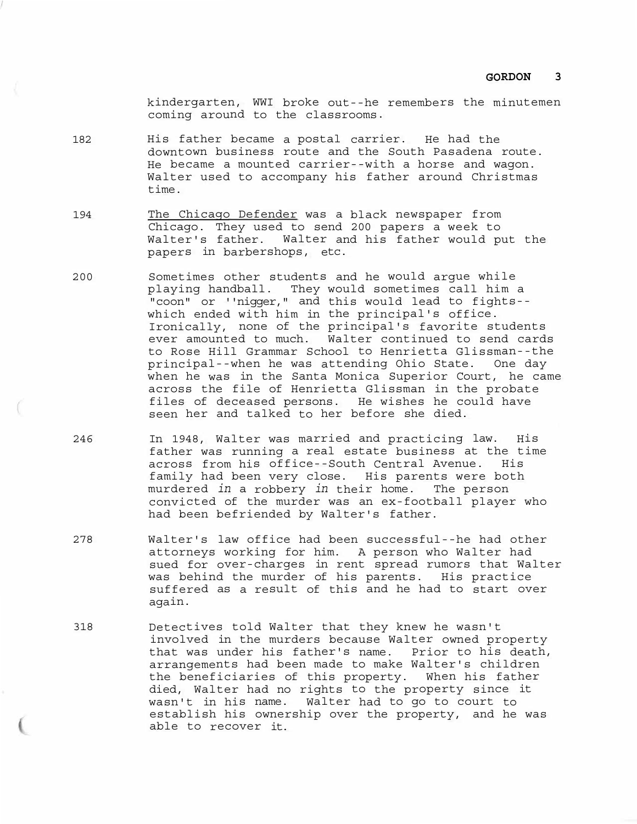kindergarten, WWI broke out--he remembers the minutemen coming around to the classrooms.

- 182 His father became a postal carrier. He had the downtown business route and the South Pasadena route. He became a mounted carrier--with a horse and wagon. Walter used to accompany his father around Christmas time.
- 194 The Chicago Defender was a black newspaper from Chicago. They used to send 200 papers a week to Walter's father. Walter and his father would put the papers in barbershops, etc.
- 200 Sometimes other students and he would argue while playing handball. They would sometimes call him a "coon" or ''nigger," and this would lead to fights- which ended with him in the principal's office. Ironically, none of the principal's favorite students ever amounted to much. Walter continued to send cards to Rose Hill Grammar School to Henrietta Glissman--the principal--when he was attending Ohio State. One day when he was in the Santa Monica Superior Court, he came across the file of Henrietta Glissman in the probate files of deceased persons. He wishes he could have seen her and talked to her before she died.
- 246 In 1948, Walter was married and practicing law. His father was running a real estate business at the time across from his office--South Central Avenue. His family had been very close. His parents were both murdered *in* a robbery *in* their home. The person convicted of the murder was an ex-football player who had been befriended by Walter's father.
- 278 Walter's law office had been successful--he had other attorneys working for him. A person who Walter had sued for over-charges in rent spread rumors that Walter was behind the murder of his parents. His practice suffered as a result of this and he had to start over again.
- 318 Detectives told Wal that they knew he wasn't ter involved in the murders because Walter owned property that was under his father's name. Prior to his death, arrangements had been made to make Walter's children the beneficiaries of this property. When his father died, Walter had no rights to the property since it wasn't in his name. Walter had to go to court to establish his ownership over the property, and he was able to recover it.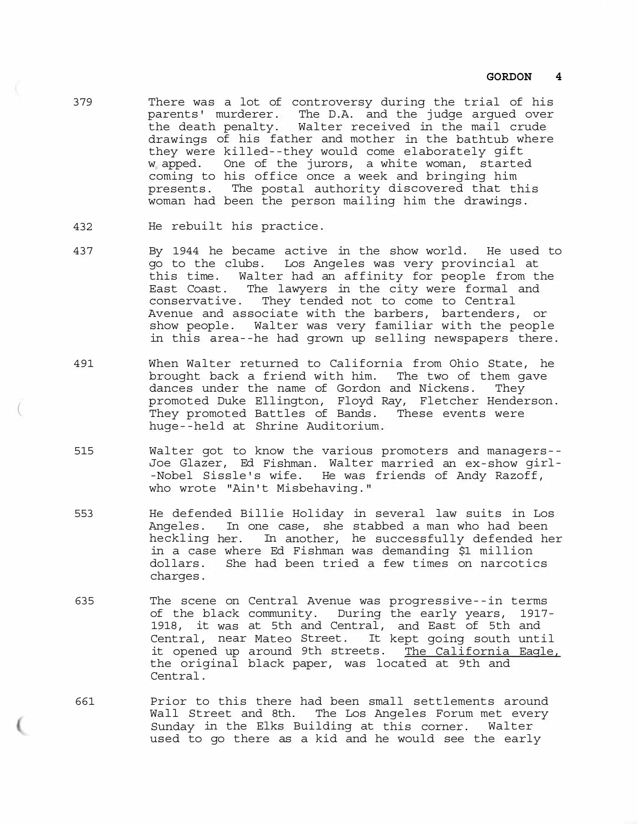- 379 There was a lot of controversy during the trial of his parents' murderer. The D.A. and the judge argued over the death penalty. Walter received in the mail crude drawings of his father and mother in the bathtub where they were killed--they would come elaborately gift w apped. One of the jurors, a white woman, started coming to his office once a week and bringing him presents. The postal authority discovered that this woman had been the person mailing him the drawings.
- 432 He rebuilt his practice.

(

- 437 By 1944 he became active in the show world. He used to go to the clubs. Los Angeles was very provincial at this time. Walter had an affinity for people from the East Coast. The lawyers in the city were formal and conservative. They tended not to come to Central Avenue and associate with the barbers, bartenders, or show people. Walter was very familiar with the people in this area--he had grown up selling newspapers there.
- 491 When Walter returned to California from Ohio State, he brought back a friend with him. The two of them gave dances under the name of Gordon and Nickens. They promoted Duke Ellington, Floyd Ray, Fletcher Henderson. They promoted Battles of Bands. These events were huge--held at Shrine Auditorium.
- 515 Walter got to know the various promoters and managers-- Joe Glazer, Ed Fishman. Walter married an ex-show girl- -Nobel Sissle's wife. He was friends of Andy Razoff, who wrote "Ain't Misbehaving."
- 553 He defended Billie Holiday in several law suits in Los Angeles. In one case, she stabbed a man who had been heckling her. In another, he successfully defended her in a case where Ed Fishman was demanding \$1 million dollars. She had been tried a few times on narcotics charges.
- 635 The scene on Central Avenue was progressive--in terms of the black community. During the early years, 1917- 1918, it was at 5th and Central, and East of 5th and Central, near Mateo Street. It kept going south until it opened up around 9th streets. The California Eagle, the original black paper, was located at 9th and Central.
- 661 Prior to this there had been small settlements around Wall Street and 8th. The Los Angeles Forum met every Sunday in the Elks Building at this corner. Walter used to go there as a kid and he would see the early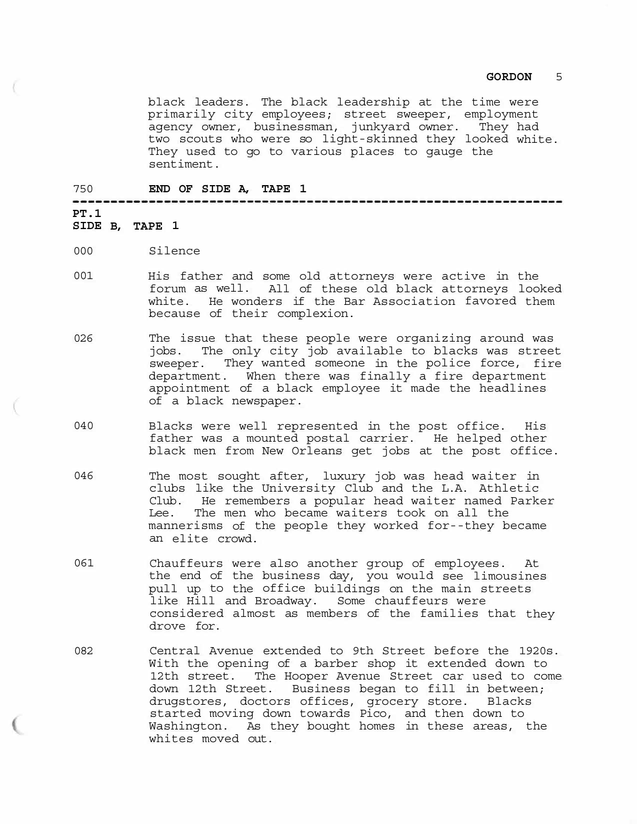black leaders. The black leadership at the time were primarily city employees; street sweeper, employment agency owner, businessman, junkyard owner. They had two scouts who were so light-skinned they looked white. They used to go to various places to gauge the sentiment.

--------------------------------

## 750 **END OF SIDE A, TAPE 1**

# **PT.1**

### **SIDE B, TAPE 1**

- 000 Silence
- 001 His father and some old attorneys were active in the forum as well. All of these old black attorneys looked white. He wonders if the Bar Association favored them because of their complexion.
- 026 The issue that these people were organizing around was jobs. The only city job available to blacks was street sweeper. They wanted someone in the police force, fire department. When there was finally a fire department appointment of a black employee it made the headlines of a black newspaper.
- 040 Blacks were well represented in the post office. His father was a mounted postal carrier. He helped other black men from New Orleans get jobs at the post office.
- 046 The most sought after, luxury job was head waiter in clubs like the University Club and the L.A. Athletic Club. He remembers a popular head waiter named Parker Lee. The men who became waiters took on all the mannerisms of the people they worked for--they became an elite crowd.
- 061 Chauffeurs were also another group of employees. At the end of the business day, you would see limousines pull up to the office buildings on the main streets like Hill and Broadway. Some chauffeurs were considered almost as members of the families that they drove for.
- 082 Central Avenue extended to 9th Street before the 1920s. With the opening of a barber shop it extended down to 12th street. The Hooper Avenue Street car used to come down 12th Street. Business began to fill in between; drugstores, doctors offices, grocery store. Blacks started moving down towards Pico, and then down to Washington. As they bought homes in these areas, the whites moved out.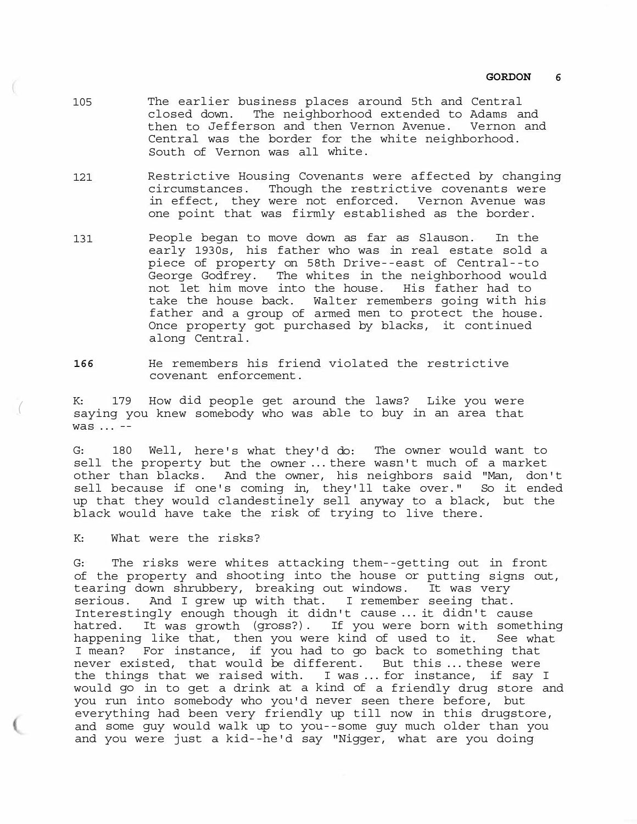- The earlier business places around 5th and Central closed down. The neighborhood extended to Adams and then to Jefferson and then Vernon Avenue. Vernon and Central was the border for the white neighborhood. South of Vernon was all white. 105
- Restrictive Housing Covenants were affected by changing circumstances. Though the restrictive covenants were in effect, they were not enforced. Vernon Avenue was one point that was firmly established as the border. 121
- 131 People began to move down as far as Slauson. In the early 1930s, his father who was in real estate sold a piece of property on 58th Drive--east of Central--to George Godfrey. The whites in the neighborhood would not let him move into the house. His father had to take the house back. Walter remembers going with his father and a group of armed men to protect the house. Once property got purchased by blacks, it continued along Central.
- **166** He remembers his friend violated the restrictive covenant enforcement.

K: 179 How did people get around the laws? Like you were saying you knew somebody who was able to buy in an area that was ... --

G: 180 Well, here's what they'd do: The owner would want to sell the property but the owner ... there wasn't much of a market other than blacks. And the owner, his neighbors said "Man, don't sell because if one's coming in, they'll take over." So it ended up that they would clandestinely sell anyway to a black, but the black would have take the risk of trying to live there.

K: What were the risks?

*(* 

G: The risks were whites attacking them--getting out in front of the property and shooting into the house or putting signs out, tearing down shrubbery, breaking out windows. It was very serious. And I grew up with that. I remember seeing that. Interestingly enough though it didn't cause ... it didn't cause hatred. It was growth (gross?). If you were born with something happening like that, then you were kind of used to it. See what I mean? For instance, if you had to go back to something that never existed, that would be different. But this ... these were the things that we raised with. I was ... for instance, if say I would go in to get a drink at a kind of a friendly drug store and you run into somebody who you'd never seen there before, but everything had been very friendly up till now in this drugstore, and some guy would walk up to you--some guy much older than you and you were just a kid--he'd say "Nigger, what are you doing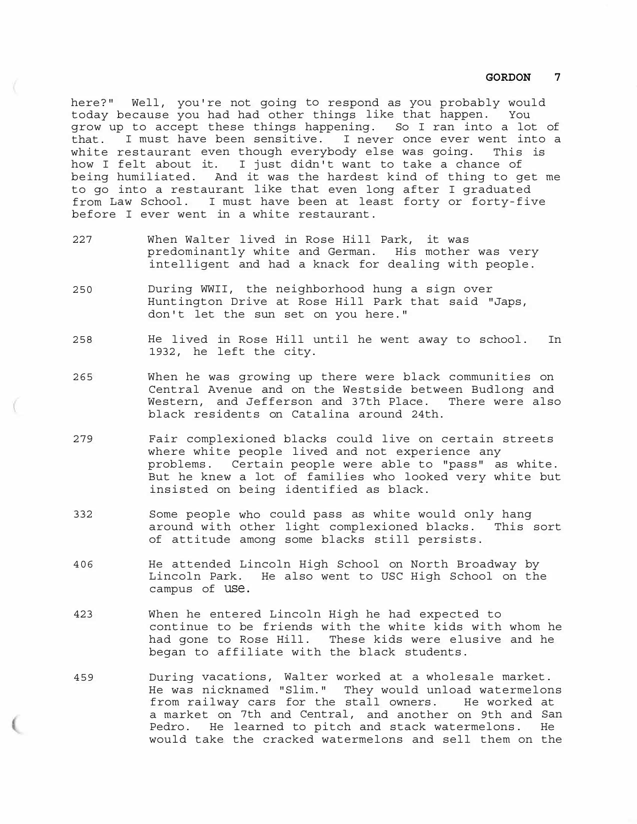here?" Well, you're not going to respond as you probably would today because you had had other things like that happen. You grow up to accept these things happening. So I ran into a lot of that. I must have been sensitive. I never once ever went into a white restaurant even though everybody else was going. This is how I felt about it. I just didn't want to take a chance of being humiliated. And it was the hardest kind of thing to get me to go into a restaurant like that even long after I graduated from Law School. I must have been at least forty or forty-five before I ever went in a white restaurant.

- 227 When Walter lived in Rose Hill Park, it was predominantly white and German. His mother was very intelligent and had a knack for dealing with people.
- 250 During WWII, the neighborhood hung a sign over Huntington Drive at Rose Hill Park that said "Japs, don't let the sun set on you here."
- 258 He lived in Rose Hill until he went away to school. In 1932, he left the city.
- 265 When he was growing up there were black communities on Central Avenue and on the Westside between Budlong and Western, and Jefferson and 37th Place. There were also black residents on Catalina around 24th.
- 279 Fair complexioned blacks could live on certain streets where white people lived and not experience any problems. Certain people were able to "pass" as white. But he knew a lot of families who looked very white but insisted on being identified as black.
- 332 Some people who could pass as white would only hang around with other light complexioned blacks. This sort of attitude among some blacks still persists.
- 406 He attended Lincoln High School on North Broadway by Lincoln Park. He also went to USC High School on the campus of use.
- 423 When he entered Lincoln High he had expected to continue to be friends with the white kids with whom he had gone to Rose Hill. These kids were elusive and he began to affiliate with the black students.
- 459 During vacations, Walter worked at a wholesale market. He was nicknamed "Slim." They would unload watermelons from railway cars for the stall owners. He worked at a market on 7th and Central, and another on 9th and San Pedro. He learned to pitch and stack watermelons. He would take the cracked watermelons and sell them on the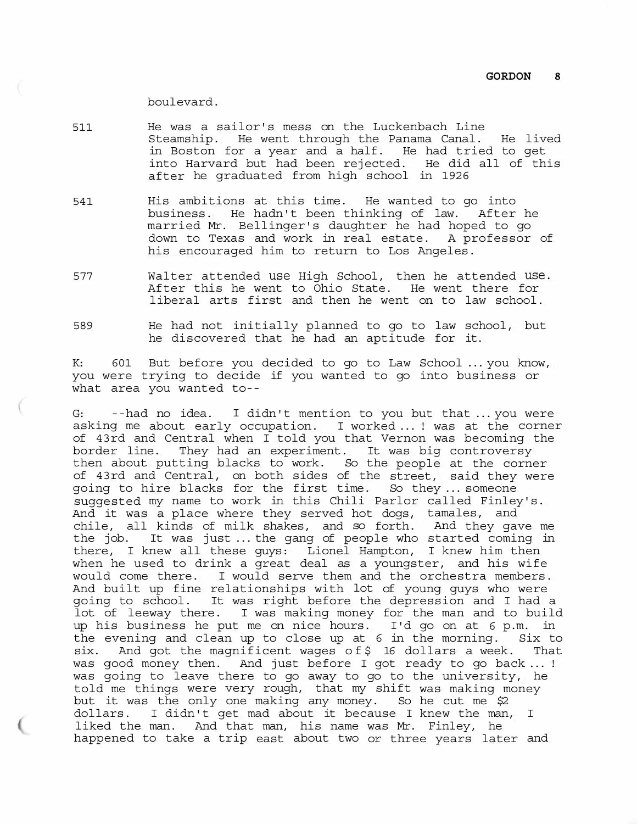## boulevard.

- 511 He was a sailor's mess on the Luckenbach Line Steamship. He went through the Panama Canal. He lived in Boston for a year and a half. He had tried to get into Harvard but had been rejected. He did all of this after he graduated from high school in 1926
- 541 His ambitions at this time. He wanted to go into business. He hadn't been thinking of law. After he married Mr. Bellinger's daughter he had hoped to go down to Texas and work in real estate. A professor of his encouraged him to return to Los Angeles.
- 577 Walter attended use High School, then he attended use. After this he went to Ohio State. He went there for liberal arts first and then he went on to law school.
- 589 He had not initially planned to go to law school, but he discovered that he had an aptitude for it.

K: 601 But before you decided to go to Law School ... you know, you were trying to decide if you wanted to go into business or what area you wanted to--

G: --had no idea. I didn't mention to you but that ... you were asking me about early occupation. I worked ... ! was at the corner of 43rd and Central when I told you that Vernon was becoming the border line. They had an experiment. It was big controversy then about putting blacks to work. So the people at the corner of 43rd and Central, on both sides of the street, said they were going to hire blacks for the first time. So they ... someone suggested my name to work in this Chili Parlor called Finley's. And it was a place where they served hot dogs, tamales, and chile, all kinds of milk shakes, and so forth. And they gave me the job. It was just ... the gang of people who started coming in there, I knew all these guys: Lionel Hampton, I knew him then when he used to drink a great deal as a youngster, and his wife would come there. I would serve them and the orchestra members. And built up fine relationships with lot of young guys who were going to school. It was right before the depression and I had a lot of leeway there. I was making money for the man and to build up his business he put me on nice hours. I'd go on at 6 p.m. in the evening and clean up to close up at 6 in the morning. Six to six. And got the magnificent wages of\$ 16 dollars a week. That was good money then. And just before I got ready to go back ... ! was going to leave there to go away to go to the university, he told me things were very rough, that my shift was making money but it was the only one making any money. So he cut me \$2 dollars. I didn't get mad about it because I knew the man, I liked the man. And that man, his name was Mr. Finley, he happened to take a trip east about two or three years later and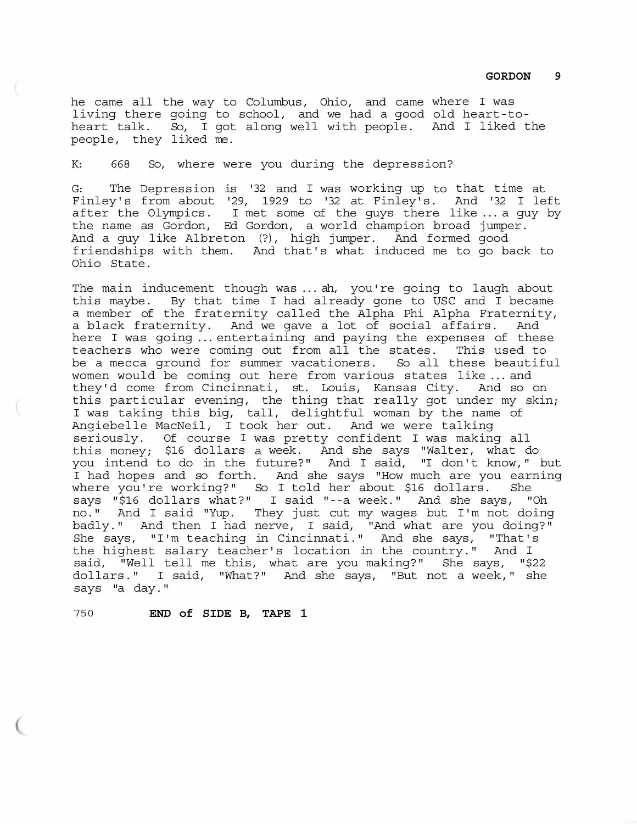he came all the way to Columbus, Ohio, and came where I was living there going to school, and we had a good old heart-toheart talk. So, I got along well with people. And I liked the people, they liked me.

K: 668 So, where were you during the depression?

G: The Depression is '32 and I was working up to that time at Finley's from about '29, 1929 to '32 at Finley's. And '32 I left after the Olympics. I met some of the guys there like ... a guy by the name as Gordon, Ed Gordon, a world champion broad jumper. And a guy like Albreton (?), high jumper. And formed good friendships with them. And that's what induced me to go back to Ohio State.

The main inducement though was ... ah, you're going to laugh about this maybe. By that time I had already gone to USC and I became a member of the fraternity called the Alpha Phi Alpha Fraternity, a black fraternity. And we gave a lot of social affairs. And here I was going ... entertaining and paying the expenses of these teachers who were coming out from all the states. This used to be a mecca ground for summer vacationers. So all these beautiful women would be coming out here from various states like ... and they'd come from Cincinnati, st. Louis, Kansas City. And so on this particular evening, the thing that really got under my skin; I was taking this big, tall, delightful woman by the name of Angiebelle MacNeil, I took her out. And we were talking seriously. Of course I was pretty confident I was making all this money; \$16 dollars a week. And she says "Walter, what do you intend to do in the future?" And I said, "I don't know," but I had hopes and so forth. And she says "How much are you earning where you're working?" So I told her about \$16 dollars. She says "\$16 dollars what?" I said "--a week." And she says, "Oh no." And I said "Yup. They just cut my wages but I'm not doing badly." And then I had nerve, I said, "And what are you doing?" She says, "I'm teaching in Cincinnati." And she says, "That's the highest salary teacher's location in the country." And I said, "Well tell me this, what are you making?" She says, "\$22 dollars." I said, "What?" And she says, "But not a week," she says "a day."

750 **END of SIDE B, TAPE 1**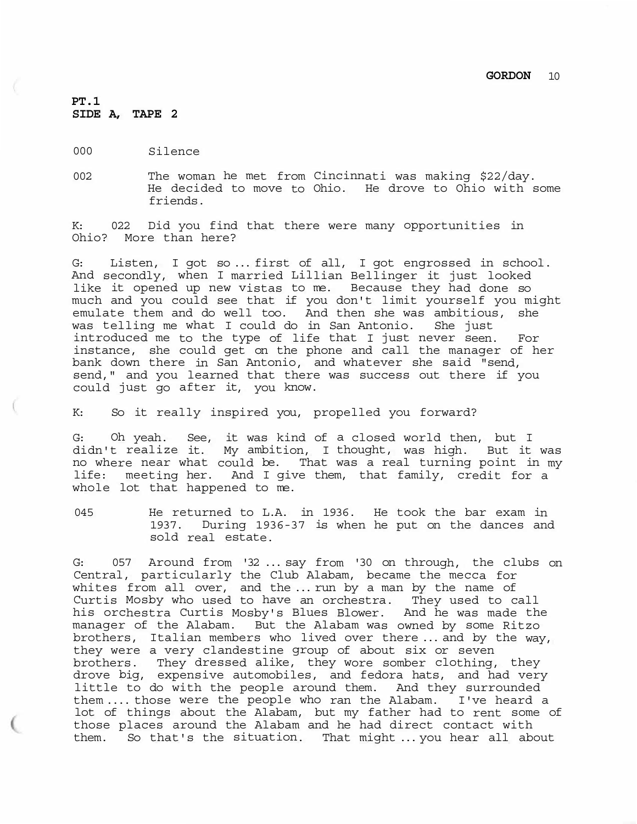## **PT.1 SIDE A, TAPE 2**

- 000 Silence
- 002 The woman he met from Cincinnati was making \$22/day. He decided to move to Ohio. He drove to Ohio with some friends.

K: 022 Did you find that there were many opportunities in Ohio? More than here?

G: Listen, I got so ... first of all, I got engrossed in school. And secondly, when I married Lillian Bellinger it just looked like it opened up new vistas to me. Because they had done so much and you could see that if you don't limit yourself you might emulate them and do well too. And then she was ambitious, she was telling me what I could do in San Antonio. She just introduced me to the type of life that I just never seen. For instance, she could get on the phone and call the manager of her bank down there in San Antonio, and whatever she said "send, send," and you learned that there was success out there if you could just go after it, you know.

K: So it really inspired you, propelled you forward?

G: Oh yeah. See, it was kind of a closed world then, but I didn't realize it. My ambition, I thought, was high. But it was no where near what could be. That was a real turning point in my life: meeting her. And I give them, that family, credit for a whole lot that happened to me.

045 He returned to L.A. in 1936. He took the bar exam in 1937. During 1936-37 is when he put on the dances and sold real estate.

G: 057 Around from '32 ... say from '30 on through, the clubs on Central, particularly the Club Alabam, became the mecca for whites from all over, and the ... run by a man by the name of Curtis Mosby who used to have an orchestra. They used to call his orchestra Curtis Mosby's Blues Blower. And he was made the manager of the Alabam. But the Alabam was owned by some Ritzo brothers, Italian members who lived over there ... and by the way, they were a very clandestine group of about six or seven brothers. They dressed alike, they wore somber clothing, they drove big, expensive automobiles, and fedora hats, and had very little to do with the people around them. And they surrounded them .... those were the people who ran the Alabam. I've heard a lot of things about the Alabam, but my father had to rent some of those places around the Alabam and he had direct contact with them. So that's the situation. That might ... you hear all about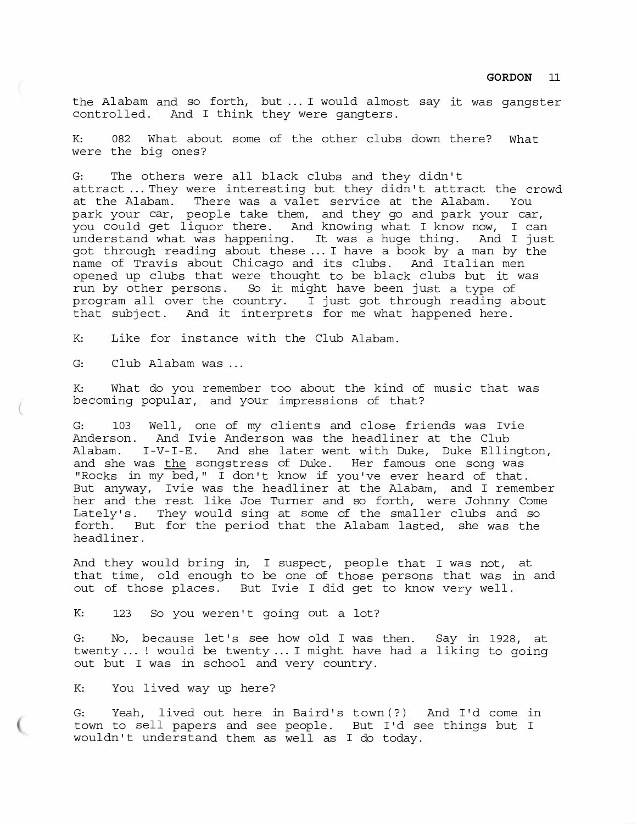the Alabam and so forth, but ... I would almost say it was gangster controlled. And I think they were gangters.

K: 082 What about some of the other clubs down there? What were the big ones?

G: The others were all black clubs and they didn't attract ... They were interesting but they didn't attract the crowd at the Alabam. There was a valet service at the Alabam. You park your car, people take them, and they go and park your car, you could get liquor there. And knowing what I know now, I can understand what was happening. It was a huge thing. And I just got through reading about these ... I have a book by a man by the name of Travis about Chicago and its clubs. And Italian men opened up clubs that were thought to be black clubs but it was run by other persons. So it might have been just a type of program all over the country. I just got through reading about that subject. And it interprets for me what happened here.

K: Like for instance with the Club Alabam.

G: Club Alabam was ...

 $\overline{(\ }$ 

K: What do you remember too about the kind of music that was becoming popular, and your impressions of that?

G: 103 Well, one of my clients and close friends was Ivie Anderson. And Ivie Anderson was the headliner at the Club Alabam. I-V-I-E. And she later went with Duke, Duke Ellington, and she was the songstress of Duke. Her famous one song was "Rocks in my bed," I don't know if you've ever heard of that. But anyway, Ivie was the headliner at the Alabam, and I remember her and the rest like Joe Turner and so forth, were Johnny Come Lately's. They would sing at some of the smaller clubs and so forth. But for the period that the Alabam lasted, she was the headliner.

And they would bring in, I suspect, people that I was not, at that time, old enough to be one of those persons that was in and out of those places. But Ivie I did get to know very well.

K: 123 So you weren't going out a lot?

G: No, because let's see how old I was then. Say in 1928, at twenty ... ! would be twenty ... I might have had a liking to going out but I was in school and very country.

K: You lived way up here?

G: Yeah, lived out here in Baird's town(?) And I'd come in town to sell papers and see people. But I'd see things but I wouldn't understand them as well as I do today.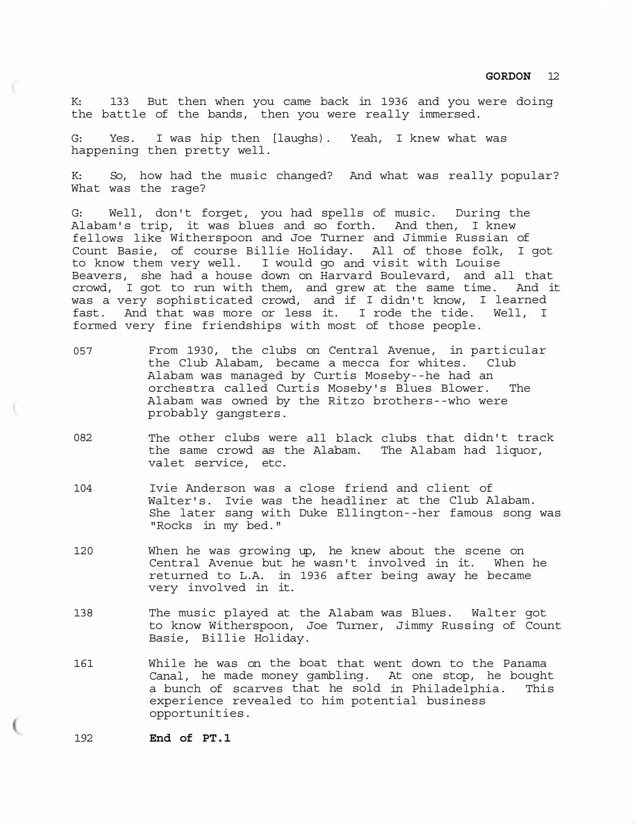K: 133 But then when you came back in 1936 and you were doing the battle of the bands, then you were really immersed.

G: Yes. I was hip then [laughs). Yeah, I knew what was happening then pretty well.

K: So, how had the music changed? And what was really popular? What was the rage?

G: Well, don't forget, you had spells of music. During the Alabam's trip, it was blues and so forth. And then, I knew fellows like Witherspoon and Joe Turner and Jimmie Russian of Count Basie, of course Billie Holiday. All of those folk, I got to know them very well. I would go and visit with Louise Beavers, she had a house down on Harvard Boulevard, and all that crowd, I got to run with them, and grew at the same time. And it was a very sophisticated crowd, and if I didn't know, I learned fast. And that was more or less it. I rode the tide. Well, I formed very fine friendships with most of those people.

- 057 From 1930, the clubs on Central Avenue, in particular the Club Alabam, became a mecca for whites. Club Alabam was managed by Curtis Moseby--he had an orchestra called Curtis Moseby's Blues Blower. The Alabam was owned by the Ritzo brothers--who were probably gangsters.
- 082 The other clubs were all black clubs that didn't track the same crowd as the Alabam. The Alabam had liquor, valet service, etc.
- 104 Ivie Anderson was a close friend and client of Walter's. Ivie was the headliner at the Club Alabam. She later sang with Duke Ellington--her famous song was "Rocks in my bed."
- 120 When he was growing up, he knew about the scene on Central Avenue but he wasn't involved in it. When he returned to L.A. in 1936 after being away he became very involved in it.
- 138 The music played at the Alabam was Blues. Walter got to know Witherspoon, Joe Turner, Jimmy Russing of Count Basie, Billie Holiday.
- 161 While he was on the boat that went down to the Panama Canal, he made money gambling. At one stop, he bought a bunch of scarves that he sold in Philadelphia. This experience revealed to him potential business opportunities.

192 **End of PT.1**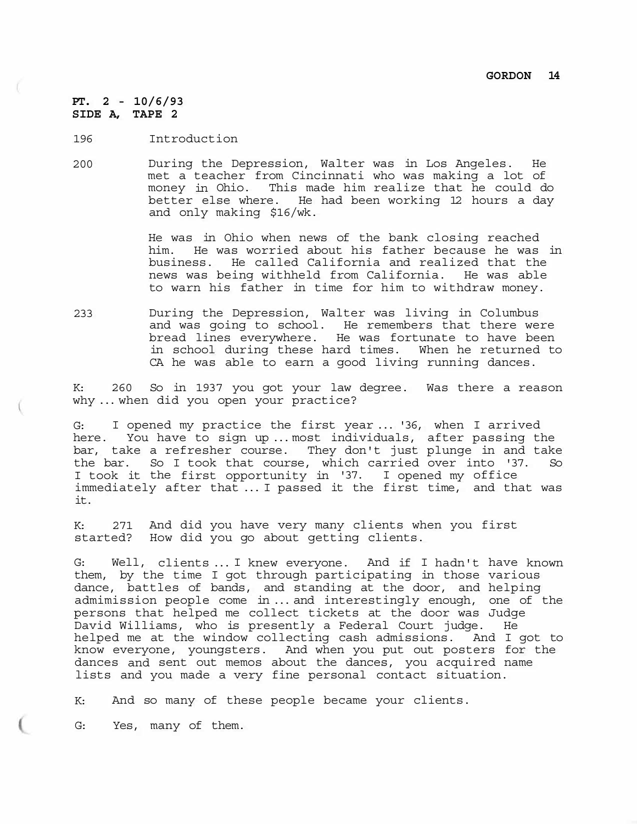**PT. 2 - 10/6/93 SIDE A, TAPE 2** 

196 Introduction

200 During the Depression, Walter was in Los Angeles. He met a teacher from Cincinnati who was making a lot of money in Ohio. This made him realize that he could do better else where. He had been working 12 hours a day and only making \$16/wk.

> He was in Ohio when news of the bank closing reached him. He was worried about his father because he was in business. He called California and realized that the news was being withheld from California. He was able to warn his father in time for him to withdraw money.

233 During the Depression, Walter was living in Columbus and was going to school. He remembers that there were bread lines everywhere. He was fortunate to have been in school during these hard times. When he returned to CA he was able to earn a good living running dances.

K: 260 So in 1937 you got your law degree. Was there a reason why ... when did you open your practice?

G: I opened my practice the first year ... '36, when I arrived here. You have to sign up ... most individuals, after passing the bar, take a refresher course. They don't just plunge in and take the bar. So I took that course, which carried over into '37. So I took it the first opportunity in '37. I opened my office immediately after that ... I passed it the first time, and that was it.

K: 271 And did you have very many clients when you first started? How did you go about getting clients.

G: Well, clients ... I knew everyone. And if I hadn't have known them, by the time I got through participating in those various dance, battles of bands, and standing at the door, and helping admimission people come in ... and interestingly enough, one of the persons that helped me collect tickets at the door was Judge David Williams, who is presently a Federal Court judge. He helped me at the window collecting cash admissions. And I got to know everyone, youngsters. And when you put out posters for the dances and sent out memos about the dances, you acquired name lists and you made a very fine personal contact situation.

K: And so many of these people became your clients.

G: Yes, many of them.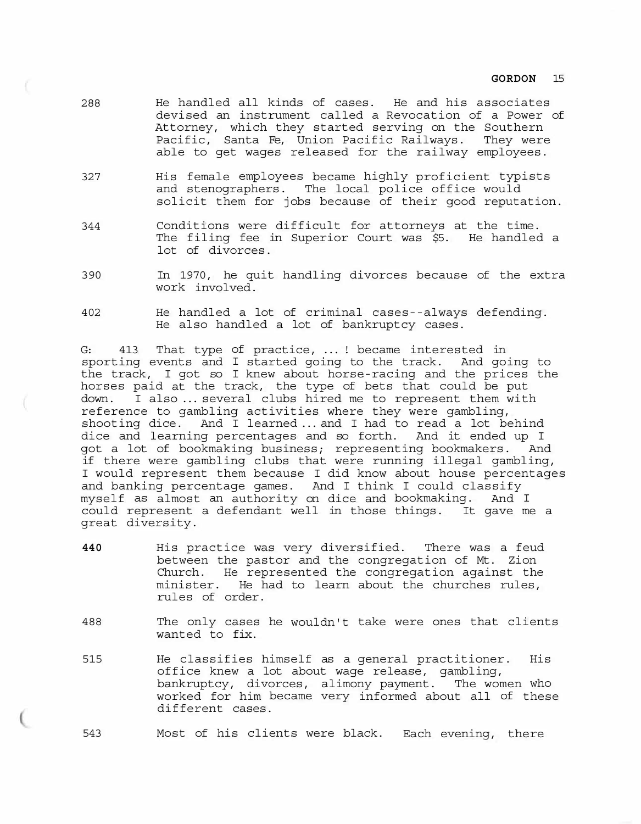- 288 He handled all kinds of cases. He and his associates devised an instrument called a Revocation of a Power of Attorney, which they started serving on the Southern Pacific, Santa Fe, Union Pacific Railways. They were able to get wages released for the railway employees.
- 327 His female employees became highly proficient typists and stenographers. The local police office would solicit them for jobs because of their good reputation.
- 344 Conditions were difficult for attorneys at the time. The filing fee in Superior Court was \$5. He handled a lot of divorces.
- 390 In 1970, he quit handling divorces because of the extra work involved.
- 402 He handled a lot of criminal cases--always defending. He also handled a lot of bankruptcy cases.

G: 413 That type of practice, ... ! became interested in sporting events and I started going to the track. And going to the track, I got so I knew about horse-racing and the prices the horses paid at the track, the type of bets that could be put down. I also ... several clubs hired me to represent them with reference to gambling activities where they were gambling, shooting dice. And I learned ... and I had to read a lot behind dice and learning percentages and so forth. And it ended up I got a lot of bookmaking business; representing bookmakers. And if there were gambling clubs that were running illegal gambling, I would represent them because I did know about house percentages and banking percentage games. And I think I could classify myself as almost an authority on dice and bookmaking. And I could represent a defendant well in those things. It gave me a great diversity.

- **440** His practice was very diversified. There was a feud between the pastor and the congregation of Mt. Zion Church. He represented the congregation against the minister. He had to learn about the churches rules, rules of order.
- 488 The only cases he wouldn't take were ones that clients wanted to fix.
- 515 He classifies himself as a general practitioner. His office knew a lot about wage release, gambling, bankruptcy, divorces, alimony payment. The women who worked for him became very informed about all of these different cases.

543 Most of his clients were black. Each evening, there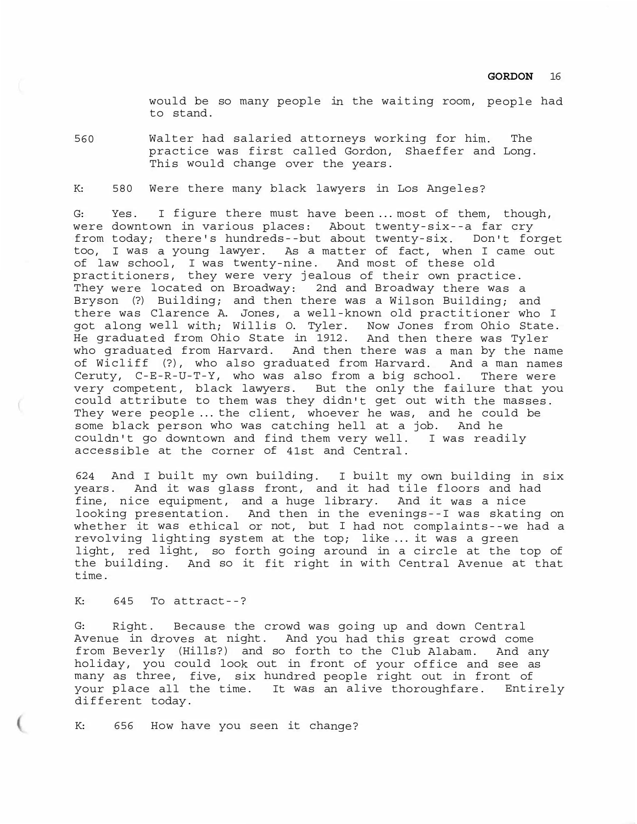would be so many people in the waiting room, people had to stand.

560 Walter had salaried attorneys working for him. The practice was first called Gordon, Shaeffer and Long. This would change over the years.

K: 580 Were there many black lawyers in Los Angeles?

G: Yes. I figure there must have been ... most of them, though, were downtown in various places: About twenty-six--a far cry from today; there's hundreds--but about twenty-six. Don't forget too, I was a young lawyer. As a matter of fact, when I came out of law school, I was twenty-nine. And most of these old practitioners, they were very jealous of their own practice. They were located on Broadway: 2nd and Broadway there was a Bryson (?) Building; and then there was a Wilson Building; and there was Clarence A. Jones, a well-known old practitioner who I got along well with; Willis O. Tyler. Now Jones from Ohio State. He graduated from Ohio State in 1912. And then there was Tyler who graduated from Harvard. And then there was a man by the name of Wicliff (?), who also graduated from Harvard. And a man names Ceruty, C-E-R-U-T-Y, who was also from a big school. There were very competent, black lawyers. But the only the failure that you could attribute to them was they didn't get out with the masses. They were people ... the client, whoever he was, and he could be some black person who was catching hell at a job. And he couldn't go downtown and find them very well. I was readily accessible at the corner of 41st and Central.

624 And I built my own building. I built my own building in six years. And it was glass front, and it had tile floors and had fine, nice equipment, and a huge library. And it was a nice looking presentation. And then in the evenings--I was skating on whether it was ethical or not, but I had not complaints--we had a revolving lighting system at the top; like ... it was a green light, red light, so forth going around in a circle at the top of the building. And so it fit right in with Central Avenue at that time.

## K: 645 To attract--?

G: Right. Because the crowd was going up and down Central Avenue in droves at night. And you had this great crowd come from Beverly (Hills?) and so forth to the Club Alabam. And any holiday, you could look out in front of your office and see as many as three, five, six hundred people right out in front of your place all the time. It was an alive thoroughfare. Entirely different today.

K: 656 How have you seen it change?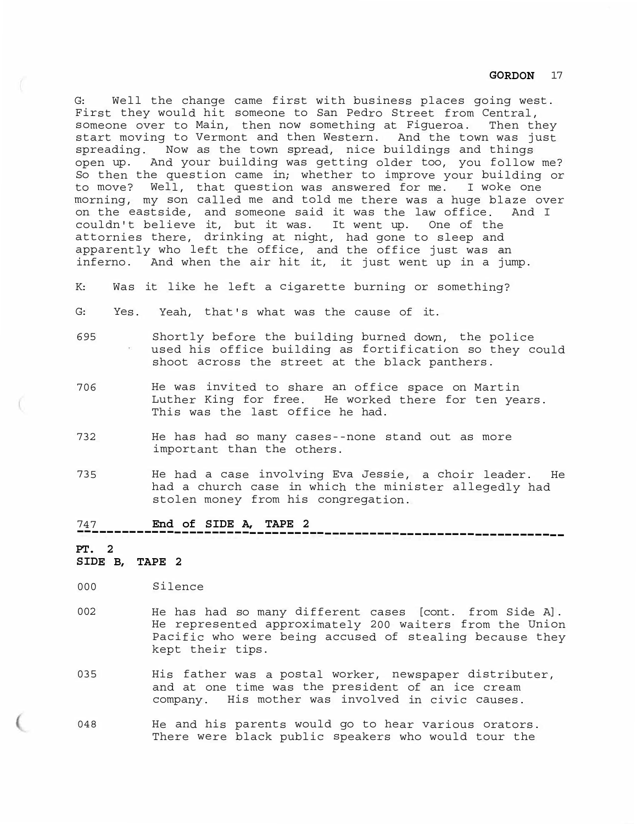G: Well the change came first with business places going west. First they would hit someone to San Pedro Street from Central, someone over to Main, then now something at Figueroa. Then they start moving to Vermont and then Western. And the town was just spreading. Now as the town spread, nice buildings and things open up. And your building was getting older too, you follow me? So then the question came in; whether to improve your building or to move? Well, that question was answered for me. I woke one morning, my son called me and told me there was a huge blaze over on the eastside, and someone said it was the law office. And I couldn't believe it, but it was. It went up. One of the attornies there, drinking at night, had gone to sleep and apparently who left the office, and the office just was an inferno. And when the air hit it, it just went up in a jump.

K: Was it like he left a cigarette burning or something?

- G: Yes. Yeah, that's what was the cause of it.
- 695 Shortly before the building burned down, the police used his office building as fortification so they could shoot across the street at the black panthers.
- 706 He was invited to share an office space on Martin Luther King for free. He worked there for ten years. This was the last office he had.
- 732 He has had so many cases--none stand out as more important than the others.
- 735 He had a case involving Eva Jessie, a choir leader. He had a church case in which the minister allegedly had stolen money from his congregation.

-----------------------------------------------------------------

## 747 **End of SIDE A, TAPE 2**

# **PT. 2**

# **SIDE B, TAPE 2**

- 000 Silence
- 002 He has had so many different cases [cont. from Side A]. He represented approximately 200 waiters from the Union Pacific who were being accused of stealing because they kept their tips.
- 035 His father was a postal worker, newspaper distributer, and at one time was the president of an ice cream company. His mother was involved in civic causes.
- 048 He and his parents would go to hear various orators. There were black public speakers who would tour the

## **GORDON** 17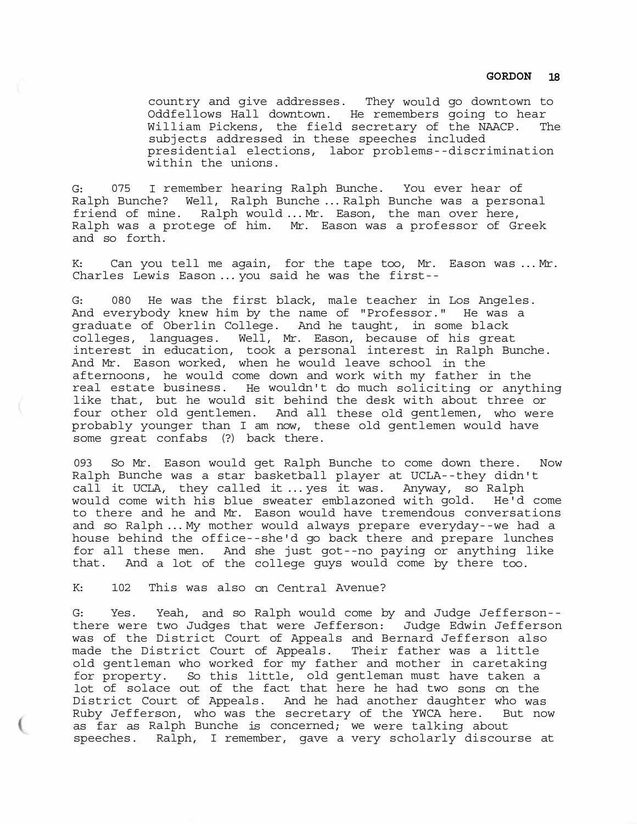country and give addresses. They would go downtown to Oddfellows Hall downtown. He remembers going to hear William Pickens, the field secretary of the NAACP. The subjects addressed in these speeches included presidential elections, labor problems--discrimination within the unions.

G: 075 I remember hearing Ralph Bunche. You ever hear of Ralph Bunche? Well, Ralph Bunche ... Ralph Bunche was a personal friend of mine. Ralph would ... Mr. Eason, the man over here, Ralph was a protege of him. Mr. Eason was a professor of Greek and so forth.

K: Can you tell me again, for the tape too, Mr. Eason was ... Mr. Charles Lewis Eason ... you said he was the first--

G: 080 He was the first black, male teacher in Los Angeles. And everybody knew him by the name of "Professor." He was a graduate of Oberlin College. And he taught, in some black colleges, languages. Well, Mr. Eason, because of his great interest in education, took a personal interest in Ralph Bunche. And Mr. Eason worked, when he would leave school in the afternoons, he would come down and work with my father in the real estate business. He wouldn't do much soliciting or anything like that, but he would sit behind the desk with about three or four other old gentlemen. And all these old gentlemen, who were probably younger than I am now, these old gentlemen would have some great confabs (?) back there.

093 So Mr. Eason would get Ralph Bunche to come down there. Now Ralph Bunche was a star basketball player at UCLA--they didn't call it UCLA, they called it ... yes it was. Anyway, so Ralph would come with his blue sweater emblazoned with gold. He'd come to there and he and Mr. Eason would have tremendous conversations and so Ralph ... My mother would always prepare everyday--we had a house behind the office--she'd go back there and prepare lunches for all these men. And she just got--no paying or anything like that. And a lot of the college guys would come by there too.

K: 102 This was also on Central Avenue?

G: Yes. Yeah, and so Ralph would come by and Judge Jefferson- there were two Judges that were Jefferson: Judge Edwin Jefferson was of the District Court of Appeals and Bernard Jefferson also made the District Court of Appeals. Their father was a little old gentleman who worked for my father and mother in caretaking for property. So this little, old gentleman must have taken a lot of solace out of the fact that here he had two sons on the District Court of Appeals. And he had another daughter who was Ruby Jefferson, who was the secretary of the YWCA here. But now as far as Ralph Bunche is concerned; we were talking about speeches. Ralph, I remember, gave a very scholarly discourse at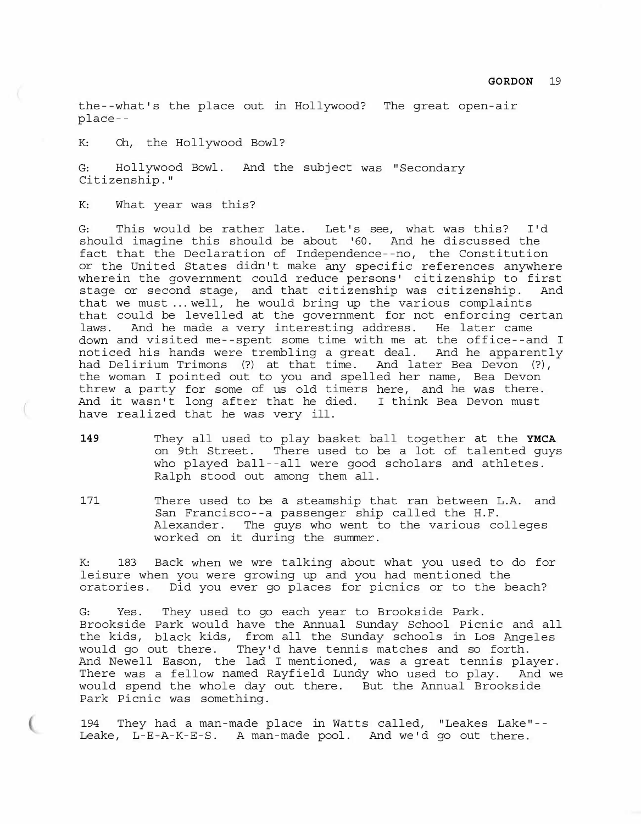the--what's the place out in Hollywood? The great open-air place--

K: Oh, the Hollywood Bowl?

G: Hollywood Bowl. And the subject was "Secondary Citizenship."

K: What year was this?

G: This would be rather late. Let's see, what was this? I'd should imagine this should be about '60. And he discussed the fact that the Declaration of Independence--no, the Constitution or the United States didn't make any specific references anywhere wherein the government could reduce persons' citizenship to first stage or second stage, and that citizenship was citizenship. And that we must ... well, he would bring up the various complaints that could be levelled at the government for not enforcing certan laws. And he made a very interesting address. He later came down and visited me--spent some time with me at the office--and I noticed his hands were trembling a great deal. And he apparently had Delirium Trimons (?) at that time. And later Bea Devon (?), the woman I pointed out to you and spelled her name, Bea Devon threw a party for some of us old timers here, and he was there. And it wasn't long after that he died. I think Bea Devon must have realized that he was very ill.

- **149** They all used to play basket ball together at the **YMCA**  on 9th Street. There used to be a lot of talented guys who played ball--all were good scholars and athletes. Ralph stood out among them all.
- 171 There used to be a steamship that ran between L.A. and San Francisco--a passenger ship called the H.F. Alexander. The guys who went to the various colleges worked on it during the summer.

K: 183 Back when we wre talking about what you used to do for leisure when you were growing up and you had mentioned the oratories. Did you ever go places for picnics or to the beach?

G: Yes. They used to go each year to Brookside Park. Brookside Park would have the Annual Sunday School Picnic and all the kids, black kids, from all the Sunday schools in Los Angeles would go out there. They'd have tennis matches and so forth. And Newell Eason, the lad I mentioned, was a great tennis player. There was a fellow named Rayfield Lundy who used to play. And we would spend the whole day out there. But the Annual Brookside Park Picnic was something.

194 They had a man-made place in Watts called, "Leakes Lake"-- Leake, L-E-A-K-E-S. A man-made pool. And we'd go out there.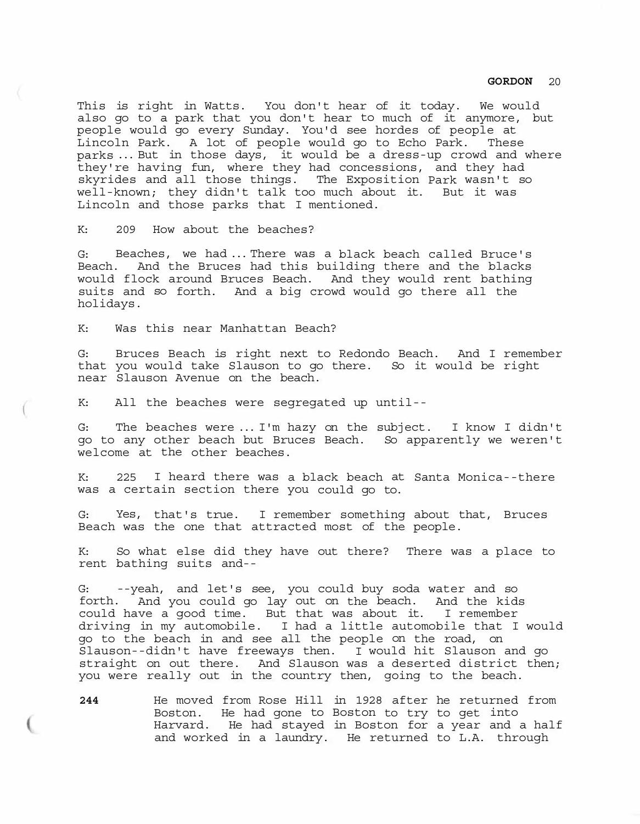This is right in Watts. You don't hear of it today. We would also go to a park that you don't hear to much of it anymore, but people would go every Sunday. You'd see hordes of people at Lincoln Park. A lot of people would go to Echo Park. These parks ... But in those days, it would be a dress-up crowd and where they're having fun, where they had concessions, and they had skyrides and all those things. The Exposition Park wasn't so well-known; they didn't talk too much about it. But it was Lincoln and those parks that I mentioned.

K: 209 How about the beaches?

G: Beaches, we had ... There was a black beach called Bruce's Beach. And the Bruces had this building there and the blacks would flock around Bruces Beach. And they would rent bathing suits and so forth. And a big crowd would go there all the holidays.

K: Was this near Manhattan Beach?

G: Bruces Beach is right next to Redondo Beach. And I remember that you would take Slauson to go there. So it would be right near Slauson Avenue on the beach.

K: All the beaches were segregated up until--

G: The beaches were ... I'm hazy on the subject. I know I didn't go to any other beach but Bruces Beach. So apparently we weren't welcome at the other beaches.

K: 225 I heard there was a black beach at Santa Monica--there was a certain section there you could go to.

G: Yes, that's true. I remember something about that, Bruces Beach was the one that attracted most of the people.

K: So what else did they have out there? There was a place to rent bathing suits and--

G: --yeah, and let's see, you could buy soda water and so<br>forth. And you could go lay out on the beach. And the kids And you could go lay out on the beach. And the kids could have a good time. But that was about it. I remember driving in my automobile. I had a little automobile that I would go to the beach in and see all the people on the road, on Slauson--didn't have freeways then. I would hit Slauson and go straight on out there. And Slauson was a deserted district then; you were really out in the country then, going to the beach.

**244** He moved from Rose Hill in 1928 after he returned from Boston. He had gone to Boston to try to get into Harvard. He had stayed in Boston for a year and a half and worked in a laundry. He returned to L.A. through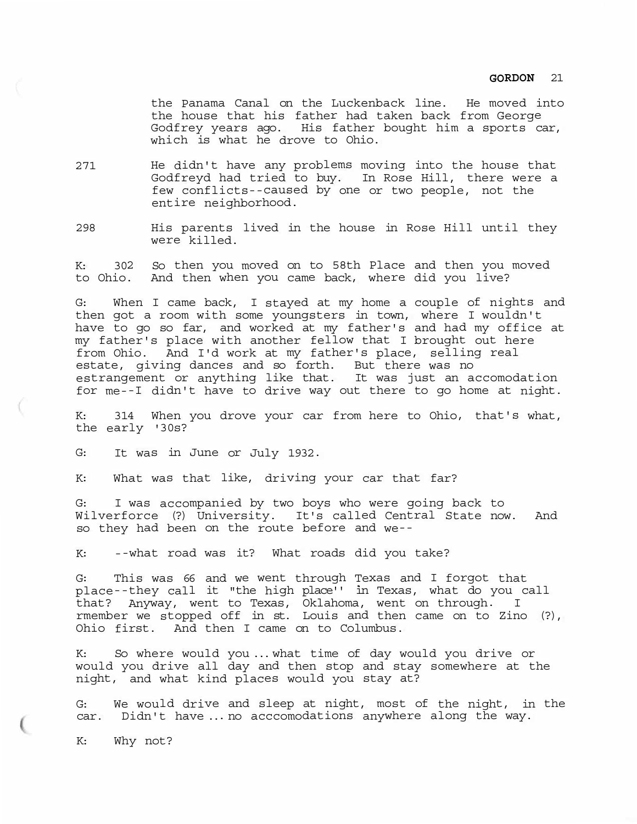the Panama Canal on the Luckenback line. He moved into the house that his father had taken back from George Godfrey years ago. His father bought him a sports car, which is what he drove to Ohio.

- 271 He didn't have any problems moving into the house that Godfreyd had tried to buy. In Rose Hill, there were a few conflicts--caused by one or two people, not the entire neighborhood.
- 298 His parents lived in the house in Rose Hill until they were killed.

K: 302 So then you moved on to 58th Place and then you moved to Ohio. And then when you came back, where did you live?

G: When I came back, I stayed at my home a couple of nights and then got a room with some youngsters in town, where I wouldn't have to go so far, and worked at my father's and had my office at my father's place with another fellow that I brought out here from Ohio. And I'd work at my father's place, selling real estate, giving dances and so forth. But there was no estrangement or anything like that. It was just an accomodation for me--I didn't have to drive way out there to go home at night.

K: 314 When you drove your car from here to Ohio, that's what, the early '30s?

G: It was in June or July 1932.

K: What was that like, driving your car that far?

G: I was accompanied by two boys who were going back to Wilverforce (?) University. It's called Central State now. And so they had been on the route before and we--

K: --what road was it? What roads did you take?

G: This was 66 and we went through Texas and I forgot that place--they call it "the high place'' in Texas, what do you call that? Anyway, went to Texas, Oklahoma, went on through. I rmember we stopped off in st. Louis and then came on to Zino (?), Ohio first. And then I came on to Columbus.

K: So where would you ... what time of day would you drive or would you drive all day and then stop and stay somewhere at the night, and what kind places would you stay at?

G: We would drive and sleep at night, most of the night, in the car. Didn't have ... no acccomodations anywhere along the way.

K: Why not?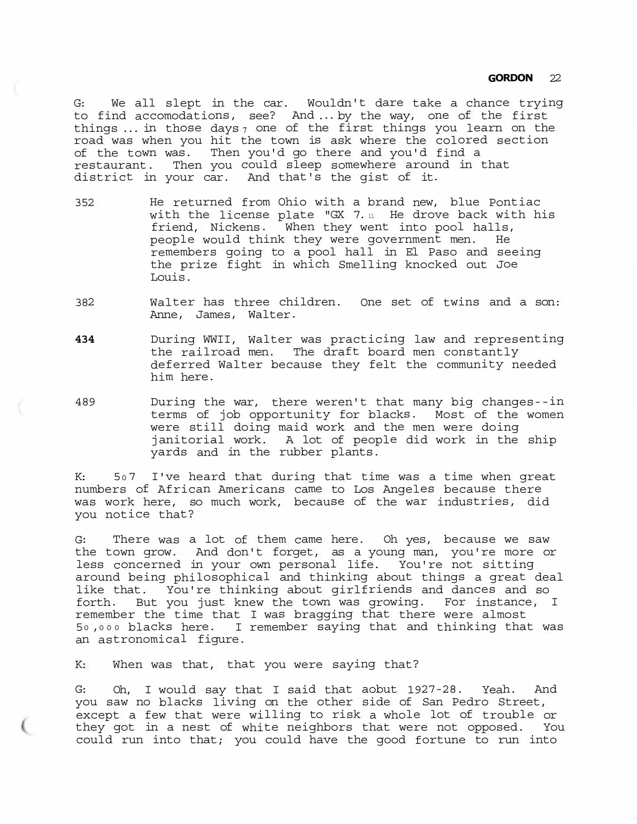G: We all slept in the car. Wouldn't dare take a chance trying to find accomodations, see? And ... by the way, one of the first things ... in those days $_{7}$  one of the first things you learn on the road was when you hit the town is ask where the colored section of the town was. Then you'd go there and you'd find a restaurant. Then you could sleep somewhere around in that district in your car. And that's the gist of it.

- 352 He returned from Ohio with a brand new, blue Pontiac with the license plate "GX 7. $n$  He drove back with his friend, Nickens. When they went into pool halls, people would think they were government men. He remembers going to a pool hall in El Paso and seeing the prize fight in which Smelling knocked out Joe Louis.
- 382 Walter has three children. One set of twins and a son: Anne, James, Walter.
- **<sup>434</sup>**During WWII, Walter was practicing law and representing the railroad men. The draft board men constantly deferred Walter because they felt the community needed him here.
- 489 During the war, there weren't that many big changes--in terms of job opportunity for blacks. Most of the women were still doing maid work and the men were doing janitorial work. A lot of people did work in the ship yards and in the rubber plants.

K: 507 I've heard that during that time was a time when great numbers of African Americans came to Los Angeles because there was work here, so much work, because of the war industries, did you notice that?

G: There was a lot of them came here. Oh yes, because we saw the town grow. And don't forget, as a young man, you're more or less concerned in your own personal life. You're not sitting around being philosophical and thinking about things a great deal like that. You're thinking about girlfriends and dances and so forth. But you just knew the town was growing. For instance, I remember the time that I was bragging that there were almost <sup>5</sup><sup>0</sup> ,<sup>0</sup> <sup>0</sup> <sup>0</sup>blacks here. I remember saying that and thinking that was an astronomical figure.

K: When was that, that you were saying that?

G: Oh, I would say that I said that aobut 1927-28. Yeah. And you saw no blacks living on the other side of San Pedro Street, except a few that were willing to risk a whole lot of trouble or they got in a nest of white neighbors that were not opposed. You could run into that; you could have the good fortune to run into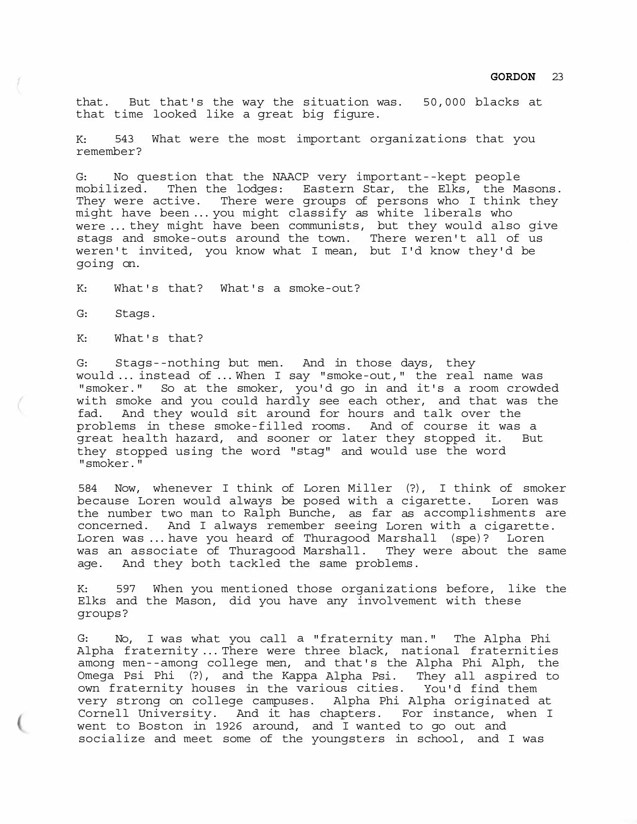that. But that's the way the situation was. 50,000 blacks at that time looked like a great big figure.

K: 543 What were the most important organizations that you remember?

G: No question that the NAACP very important--kept people mobilized. Then the lodges: Eastern Star, the Elks, the Masons. They were active. There were groups of persons who I think they might have been ... you might classify as white liberals who were ... they might have been communists, but they would also give stags and smoke-outs around the town. There weren't all of us weren't invited, you know what I mean, but I'd know they'd be going on.

K: What's that? What's a smoke-out?

G: Stags.

K: What's that?

G: Stags--nothing but men. And in those days, they would ... instead of ... When I say "smoke-out," the real name was "smoker." So at the smoker, you'd go in and it's a room crowded with smoke and you could hardly see each other, and that was the fad. And they would sit around for hours and talk over the problems in these smoke-filled rooms. And of course it was a great health hazard, and sooner or later they stopped it. But they stopped using the word "stag" and would use the word "smoker."

584 Now, whenever I think of Loren Miller (?), I think of smoker because Loren would always be posed with a cigarette. Loren was the number two man to Ralph Bunche, as far as accomplishments are concerned. And I always remember seeing Loren with a cigarette. Loren was ... have you heard of Thuragood Marshall (spe)? Loren was an associate of Thuragood Marshall. They were about the same age. And they both tackled the same problems.

K: 597 When you mentioned those organizations before, like the Elks and the Mason, did you have any involvement with these groups?

G: No, I was what you call a "fraternity man." The Alpha Phi Alpha fraternity ... There were three black, national fraternities among men--among college men, and that's the Alpha Phi Alph, the Omega Psi Phi (?), and the Kappa Alpha Psi. They all aspired to own fraternity houses in the various cities. You'd find them very strong on college campuses. Alpha Phi Alpha originated at Cornell University. And it has chapters. For instance, when I went to Boston in 1926 around, and I wanted to go out and socialize and meet some of the youngsters in school, and I was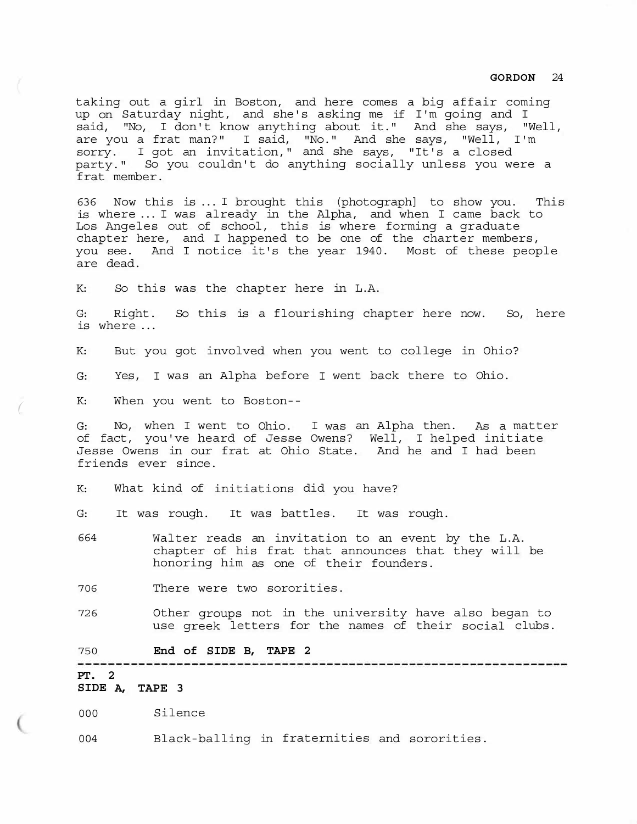taking out a girl in Boston, and here comes a big affair coming up on Saturday night, and she's asking me if I'm going and I said, "No, I don't know anything about it." And she says, "Well, are you a frat man?" I said, "No." And she says, "Well, I'm sorry. I got an invitation," and she says, "It's a closed party." So you couldn't do anything socially unless you were a frat member.

636 Now this is ... I brought this (photograph] to show you. This is where ... I was already in the Alpha, and when I came back to Los Angeles out of school, this is where forming a graduate chapter here, and I happened to be one of the charter members, you see. And I notice it's the year 1940. Most of these people are dead.

K: So this was the chapter here in L.A.

G: Right. So this is a flourishing chapter here now. So, here is where ...

K: But you got involved when you went to college in Ohio?

G: Yes, I was an Alpha before I went back there to Ohio.

K: When you went to Boston-- *(* 

G: No, when I went to Ohio. I was an Alpha then. As a matter of fact, you've heard of Jesse Owens? Well, I helped initiate Jesse Owens in our frat at Ohio State. And he and I had been friends ever since.

K: What kind of initiations did you have?

G: It was rough. It was battles. It was rough.

664 Walter reads an invitation to an event by the L.A. chapter of his frat that announces that they will be honoring him as one of their founders.

706 There were two sororities.

726 Other groups not in the university have also began to use greek letters for the names of their social clubs.

750 **End of SIDE B, TAPE 2** 

#### ------------------------------------------------

# **PT. 2**

**SIDE A, TAPE 3** 

000 Silence

004 Black-balling in fraternities and sororities.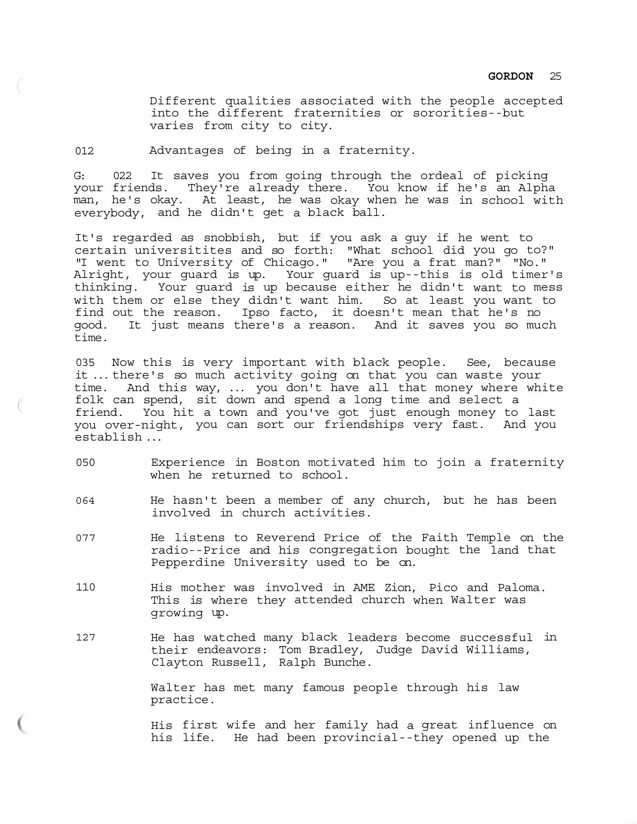Different qualities associated with the people accepted into the different fraternities or sororities--but varies from city to city.

012 Advantages of being in a fraternity.

G: 022 It saves you from going through the ordeal of picking your friends. They're already there. You know if he's an Alpha man, he's okay. At least, he was okay when he was in school with everybody, and he didn't get a black ball.

It's regarded as snobbish, but if you ask a guy if he went to certain universitites and so forth: "What school did you go to?" "I went to University of Chicago." "Are you a frat man?" "No." Alright, your guard is up. Your guard is up--this is old timer's thinking. Your guard is up because either he didn't want to mess with them or else they didn't want him. So at least you want to find out the reason. Ipso facto, it doesn't mean that he's no good. It just means there's a reason. And it saves you so much time.

035 Now this is very important with black people. See, because it ... there's so much activity going on that you can waste your time. And this way, ... you don't have all that money where white folk can spend, sit down and spend a long time and select a friend. You hit a town and you've got just enough money to last you over-night, you can sort our friendships very fast. And you establish ...

- 050 Experience in Boston motivated him to join a fraternity when he returned to school.
- 064 He hasn't been a member of any church, but he has been involved in church activities.
- 077 He listens to Reverend Price of the Faith Temple on the radio--Price and his congregation bought the land that Pepperdine University used to be on.
- 110 His mother was involved in AME Zion, Pico and Paloma. This is where they attended church when Walter was growing up.
- 127 He has watched many black leaders become successful in their endeavors: Tom Bradley, Judge David Williams, Clayton Russell, Ralph Bunche.

Walter has met many famous people through his law practice.

His first wife and her family had a great influence on his life. He had been provincial--they opened up the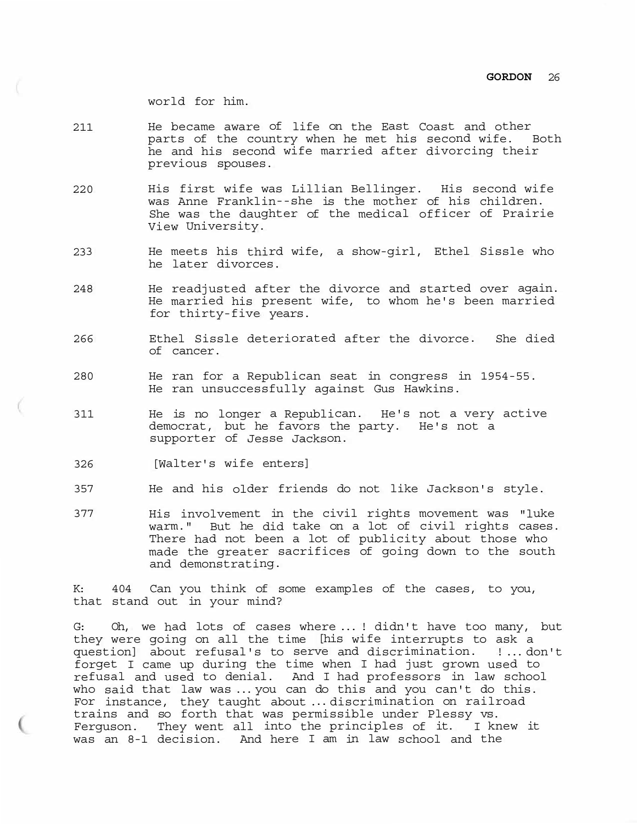world for him.

- 211 He became aware of life on the East Coast and other parts of the country when he met his second wife. Both he and his second wife married after divorcing their previous spouses.
- 220 His first wife was Lillian Bellinger. His second wife was Anne Franklin--she is the mother of his children. She was the daughter of the medical officer of Prairie View University.
- 233 He meets his third wife, a show-girl, Ethel Sissle who he later divorces.
- 248 He readjusted after the divorce and started over again. He married his present wife, to whom he's been married for thirty-five years.
- 266 Ethel Sissle deteriorated after the divorce. She died of cancer.
- 280 He ran for a Republican seat in congress in 1954-55. He ran unsuccessfully against Gus Hawkins.
- 311 He is no longer a Republican. He's not a very active democrat, but he favors the party. He's not a supporter of Jesse Jackson.
- 326 [Walter's wife enters]
- 357 He and his older friends do not like Jackson's style.
- 377 His involvement in the civil rights movement was "luke warm." But he did take on a lot of civil rights cases. There had not been a lot of publicity about those who made the greater sacrifices of going down to the south and demonstrating.

K: 404 Can you think of some examples of the cases, to you, that stand out in your mind?

G: Oh, we had lots of cases where ... ! didn't have too many, but they were going on all the time [his wife interrupts to ask a question] about refusal's to serve and discrimination. ! ... don't forget I came up during the time when I had just grown used to refusal and used to denial. And I had professors in law school who said that law was ... you can do this and you can't do this. For instance, they taught about ... discrimination on railroad trains and so forth that was permissible under Plessy vs. Ferguson. They went all into the principles of it. I knew it was an 8-1 decision. And here I am in law school and the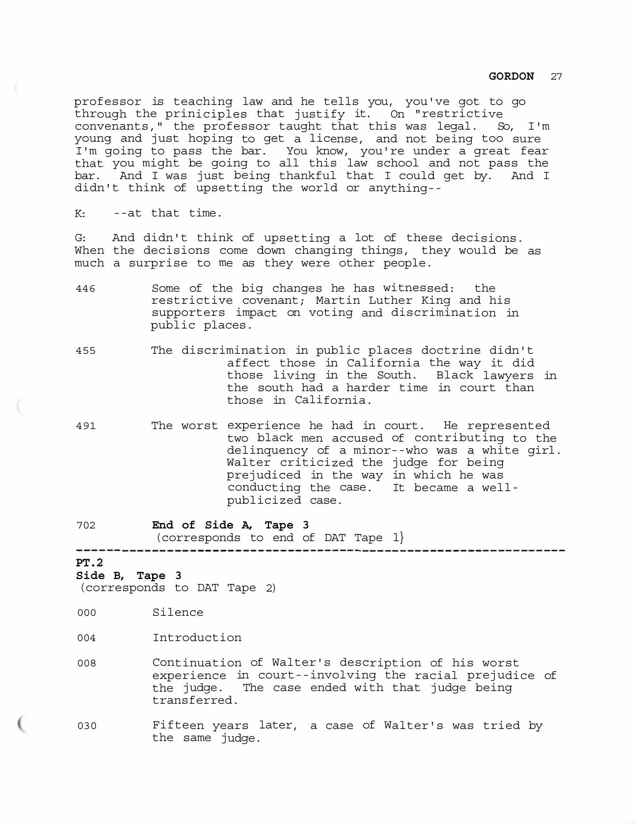professor is teaching law and he tells you, you've got to go through the priniciples that justify it. On "restrictive convenants," the professor taught that this was legal. So, I'm young and just hoping to get a license, and not being too sure I'm going to pass the bar. You know, you're under a great fear that you might be going to all this law school and not pass the bar. And I was just being thankful that I could get by. And I didn't think of upsetting the world or anything--

K: --at that time.

G: And didn't think of upsetting a lot of these decisions. When the decisions come down changing things, they would be as much a surprise to me as they were other people.

- 446 Some of the big changes he has witnessed: the restrictive covenant; Martin Luther King and his supporters impact on voting and discrimination in public places.
- 455 The discrimination in public places doctrine didn't affect those in California the way it did those living in the South. Black lawyers in the south had a harder time in court than those in California.
- 491 The worst experience he had in court. He represented two black men accused of contributing to the delinquency of a minor--who was a white girl. Walter criticized the judge for being prejudiced in the way in which he was conducting the case. It became a wellpublicized case.
- <sup>702</sup>**End of Side A, Tape 3**  (corresponds to end of DAT Tape l}

#### **PT.2**

#### **Side B, Tape 3**

(corresponds to DAT Tape 2)

- 000 Silence
- 004 Introduction
- <sup>008</sup>Continuation of Walter's description of his worst experience in court--involving the racial prejudice of the judge. The case ended with that judge being transferred.
- 030 Fifteen years later, a case of Walter's was tried by the same judge.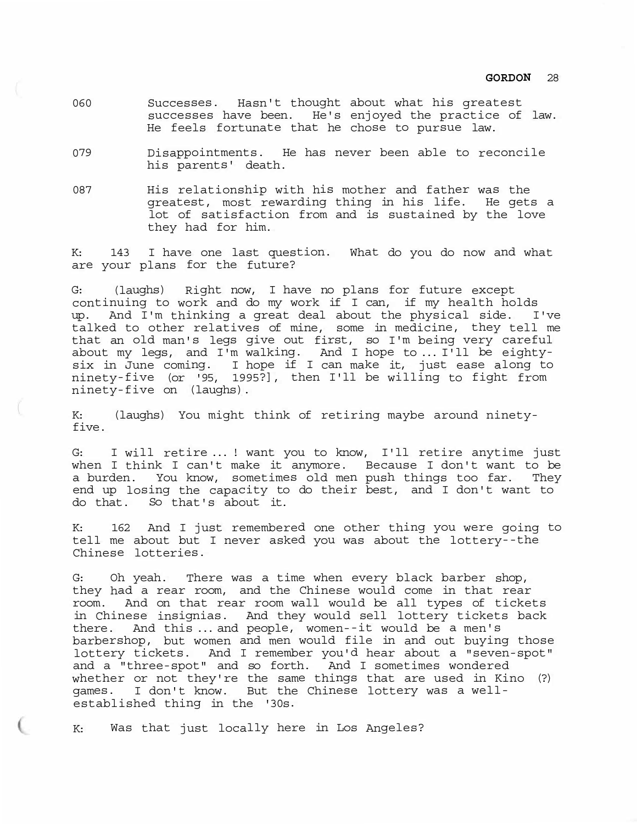- 060 Successes. Hasn't thought about what his greatest successes have been. He's enjoyed the practice of law. He feels fortunate that he chose to pursue law.
- 079 Disappointments. He has never been able to reconcile his parents' death.
- 087 His relationship with his mother and father was the greatest, most rewarding thing in his life. He gets a lot of satisfaction from and is sustained by the love they had for him.

K: 143 I have one last question. What do you do now and what are your plans for the future?

G: (laughs) Right now, I have no plans for future except continuing to work and do my work if I can, if my health holds up. And I'm thinking a great deal about the physical side. I've talked to other relatives of mine, some in medicine, they tell me that an old man's legs give out first, so I'm being very careful about my legs, and I'm walking. And I hope to ... I'll be eightysix in June coming. I hope if I can make it, just ease along to ninety-five (or '95, 1995?], then I'll be willing to fight from ninety-five on (laughs).

K: (laughs) You might think of retiring maybe around ninetyfive.

G: I will retire ... ! want you to know, I'll retire anytime just when I think I can't make it anymore. Because I don't want to be a burden. You know, sometimes old men push things too far. They end up losing the capacity to do their best, and I don't want to do that. So that's about it.

K: 162 And I just remembered one other thing you were going to tell me about but I never asked you was about the lottery--the Chinese lotteries.

G: Oh yeah. There was a time when every black barber shop, they had a rear room, and the Chinese would come in that rear room. And on that rear room wall would be all types of tickets in Chinese insignias. And they would sell lottery tickets back there. And this ... and people, women--it would be a men's barbershop, but women and men would file in and out buying those lottery tickets. And I remember you'd hear about a "seven-spot" and a "three-spot" and so forth. And I sometimes wondered whether or not they're the same things that are used in Kino (?) games. I don't know. But the Chinese lottery was a wellestablished thing in the '30s.

K: Was that just locally here in Los Angeles?